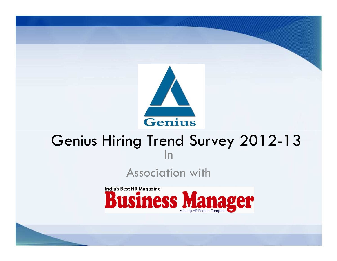

# Genius Hiring Trend Survey 2012-13 In

## Association with

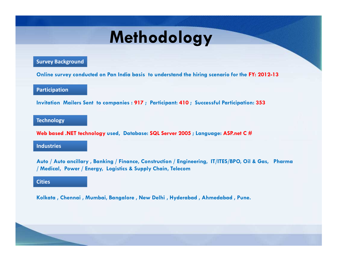# **Methodology**

#### **Survey Background**

**Online survey conducted on Pan India basis to understand the hiring scenario for the FY: 2012-13**

#### **Participation**

**Invitation Mailers Sent to companies : 917 ; Participant: 410 ; Successful Participation: 353** 

#### **Technology**

**Web based .NET technology used, Database: SQL Server 2005 ; Language: ASP.net C #**

#### **Industries**

**Auto / Auto ancillary , Banking / Finance, Construction / Engineering, IT/ITES/BPO, Oil & Gas, Pharma / Medical, Power / Energy, Logistics & Supply Chain, Telecom**

#### **Cities**

**Kolkata , Chennai , Mumbai, Bangalore , New Delhi , Hyderabad , Ahmedabad , Pune.**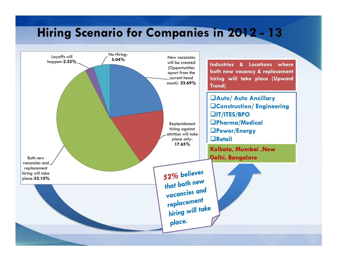# **Hiring Scenario for Companies in 2012 - 13**

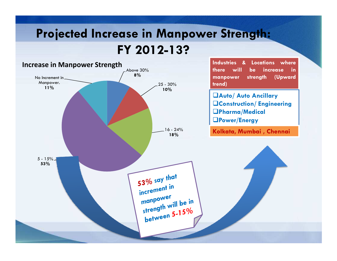# **Projected Increase in Manpower Strength: FY 2012-13?**

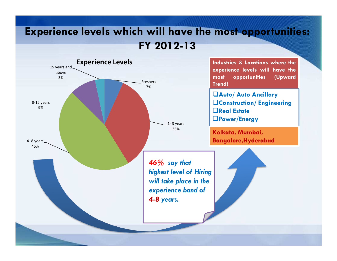## **Experience levels which will have the most opportunities: FY 2012-13**

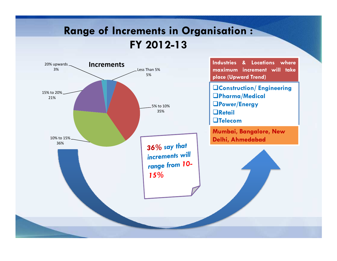## **Range of Increments in Organisation : FY 2012-13**

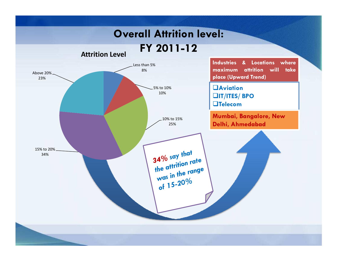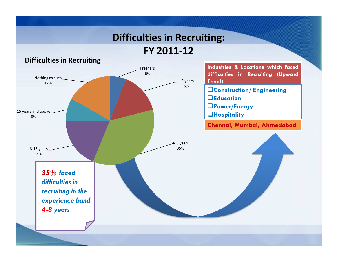### **Difficulties in Recruiting:**

**FY 2011-12**